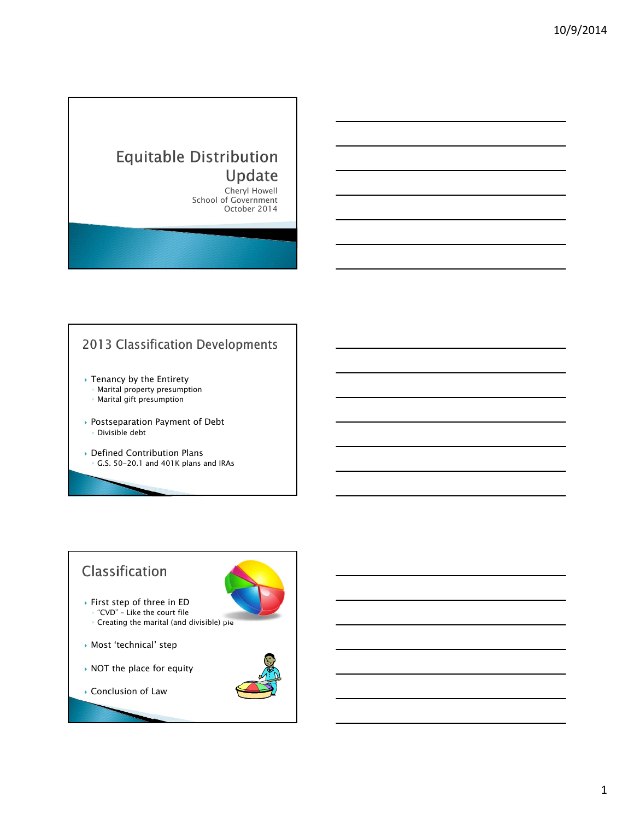# **Equitable Distribution** Update

Cheryl Howell School of Government October 2014



# Classification

- First step of three in ED ◦ "CVD" – Like the court file ◦ Creating the marital (and divisible) pie
- Most 'technical' step
- ▶ NOT the place for equity
- ▶ Conclusion of Law



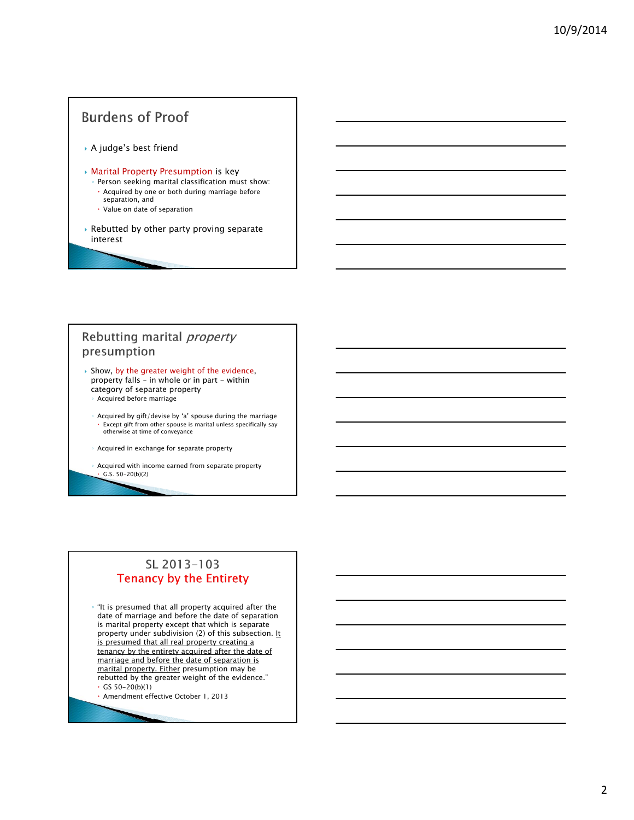# **Burdens of Proof**

A judge's best friend

#### Marital Property Presumption is key

- Person seeking marital classification must show: Acquired by one or both during marriage before
- separation, and Value on date of separation
- 
- Rebutted by other party proving separate interest

### Rebutting marital *property* presumption

- $\rightarrow$  Show, by the greater weight of the evidence, property falls – in whole or in part - within category of separate property
	- Acquired before marriage
	- Acquired by gift/devise by 'a' spouse during the marriage Except gift from other spouse is marital unless specifically say otherwise at time of conveyance
	- Acquired in exchange for separate property
	- Acquired with income earned from separate property  $\cdot$  G.S. 50-20(b)(2)

### SL 2013-103 **Tenancy by the Entirety**

◦ "It is presumed that all property acquired after the date of marriage and before the date of separation is marital property except that which is separate property under subdivision (2) of this subsection. It is presumed that all real property creating a tenancy by the entirety acquired after the date of marriage and before the date of separation is marital property. Either presumption may be rebutted by the greater weight of the evidence."  $\cdot$  GS 50-20(b)(1)

Amendment effective October 1, 2013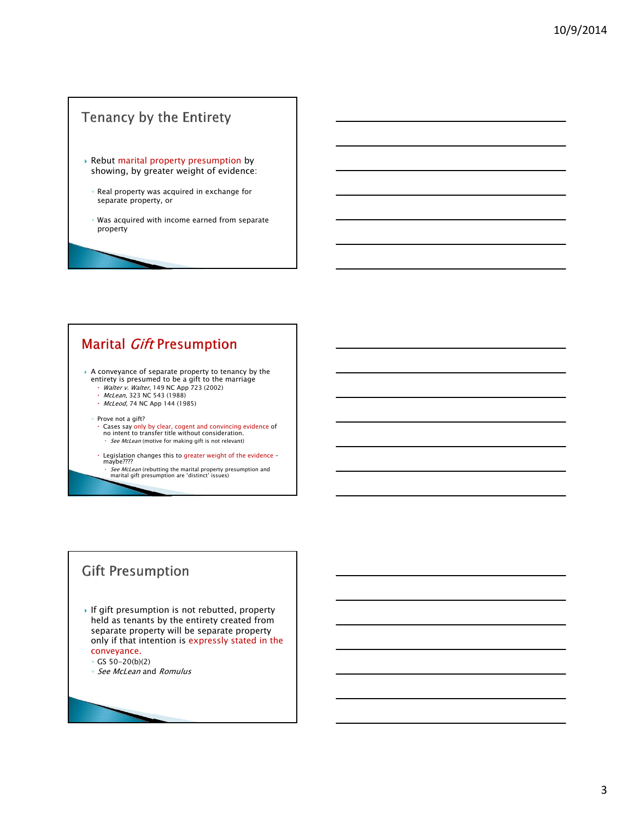# Tenancy by the Entirety

- Rebut marital property presumption by showing, by greater weight of evidence:
	- Real property was acquired in exchange for separate property, or
	- Was acquired with income earned from separate property

# **Marital Gift Presumption**

- A conveyance of separate property to tenancy by the entirety is presumed to be a gift to the marriage
	- *Walter v. Walter*, 149 NC App 723 (2002)<br>• *McLean*, 323 NC 543 (1988)
	- McLeod, 74 NC App 144 (1985)
	- Prove not a gift?
		- Cases say only by clear, cogent and convincing evidence of no intent to transfer title without consideration.<br>· *See McLean* (motive for making gift is not relevant)
	- Legislation changes this to greater weight of the evidence maybe????
		- *See McLean* (rebutting the marital property presumption and<br>marital gift presumption are 'distinct' issues)

# **Gift Presumption**

- If gift presumption is not rebutted, property held as tenants by the entirety created from separate property will be separate property only if that intention is expressly stated in the conveyance.
	- GS 50-20(b)(2)
	- See McLean and Romulus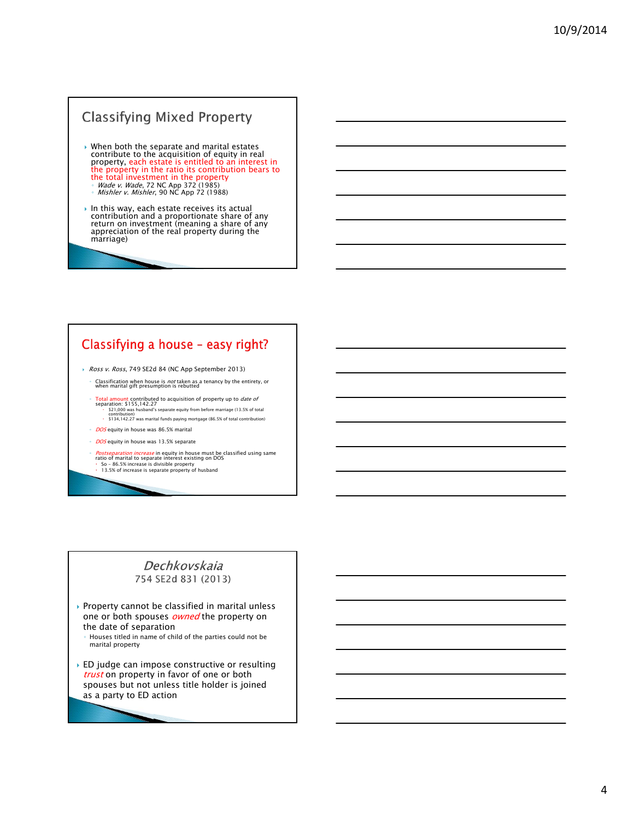# **Classifying Mixed Property**

- When both the separate and marital estates contribute to the acquisition of equity in real property, each estate is entitled to an interest in the property in the ratio its contribution bears to<br>the total investment in the property the total investment in the property<br>◦ *Wade v. Wade*, 72 NC App 372 (1985)<br>◦ *Mishler v. Mishler*, 90 NC App 72 (1988)
	-
- In this way, each estate receives its actual contribution and a proportionate share of any return on investment (meaning a share of any appreciation of the real property during the marriage)

### Classifying a house - easy right?

- Ross v. Ross, 749 SE2d 84 (NC App September 2013)
	- Classification when house is *not* taken as a tenancy by the entirety, or when marital gift presumption is rebutted
	- Fotal amount contributed to acquisition of property up to *date of*<br>separation: \$155,142.27<br>(S21,000 was husband's separate equity from before marriage (13.5% of total<br>contribution)<br>(S134,142.27 was marital funds paying m
	- DOS equity in house was 86.5% marital
	- DOS equity in house was 13.5% separate
	- Postseparation increase in equity in house must be classified using same ratio of marital to separate interest existing on DOS
	- So 86.5% increase is divisible property 13.5% of increase is separate property of husband

### Dechkovskaja 754 SE2d 831 (2013)

- $\rightarrow$  Property cannot be classified in marital unless one or both spouses **owned** the property on the date of separation
	- Houses titled in name of child of the parties could not be marital property
- ED judge can impose constructive or resulting trust on property in favor of one or both spouses but not unless title holder is joined as a party to ED action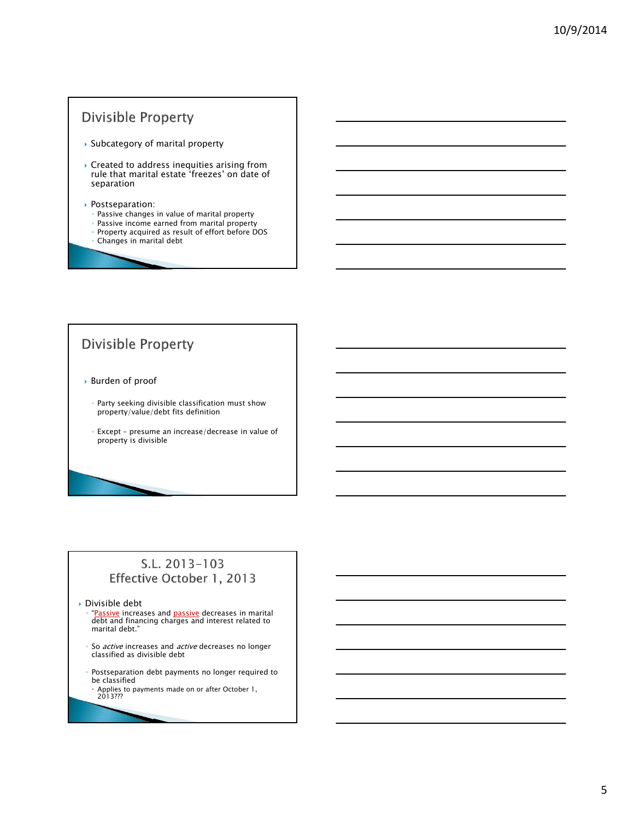# **Divisible Property**

- Subcategory of marital property
- $\blacktriangleright$  Created to address inequities arising from rule that marital estate 'freezes' on date of separation

#### Postseparation:

- Passive changes in value of marital property
- Passive income earned from marital property ◦ Property acquired as result of effort before DOS
- Changes in marital debt

# **Divisible Property**

- Burden of proof
	- Party seeking divisible classification must show property/value/debt fits definition
	- Except presume an increase/decrease in value of property is divisible

### S.L. 2013-103 Effective October 1, 2013

Divisible debt

- ∘ "<u>Passive</u> increases and <u>passive</u> decreases in marital<br>debt and financing charges and interest related to marital debt."
- So *active* increases and *active* decreases no longer<br>classified as divisible debt
- Postseparation debt payments no longer required to be classified
- Applies to payments made on or after October 1, 2013???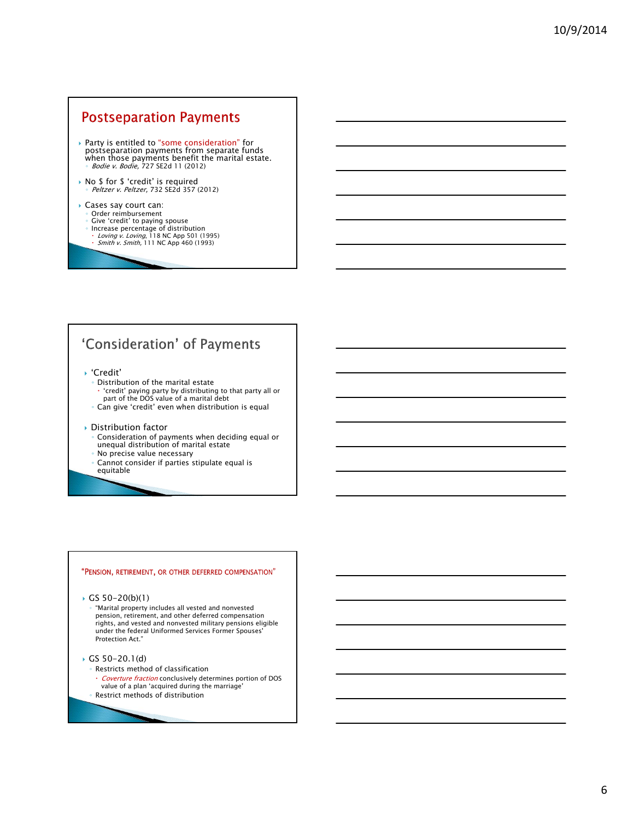### **Postseparation Payments**

- Party is entitled to "some consideration" for<br>postseparation payments from separate funds<br>when those payments benefit the marital estate.<br> *® Bodie v. Bodie*, 727 SE2d 11 (2012)
- No \$ for \$ 'credit' is required ◦ Peltzer v. Peltzer, 732 SE2d 357 (2012)

#### Cases say court can:

- Order reimbursement
- 
- ∘ Give 'credit' to paying spouse<br>← Increase percentage of distribution<br>← *Loving v. Loving*, 118 NC App 501 (1995)<br>← *Smith v. Smith,* 111 NC App 460 (1993)

# 'Consideration' of Payments

- 'Credit'
	- Distribution of the marital estate 'credit' paying party by distributing to that party all or part of the DOS value of a marital debt
- Can give 'credit' even when distribution is equal

#### Distribution factor

- Consideration of payments when deciding equal or unequal distribution of marital estate
- No precise value necessary
- Cannot consider if parties stipulate equal is equitable

#### "PENSION, RETIREMENT, OR OTHER DEFERRED COMPENSATION"

GS 50-20(b)(1)

- "Marital property includes all vested and nonvested pension, retirement, and other deferred compensation rights, and vested and nonvested military pensions eligible under the federal Uniformed Services Former Spouses' Protection Act."
- GS 50-20.1(d)
	- Restricts method of classification
	- Coverture fraction conclusively determines portion of DOS value of a plan 'acquired during the marriage'
	- Restrict methods of distribution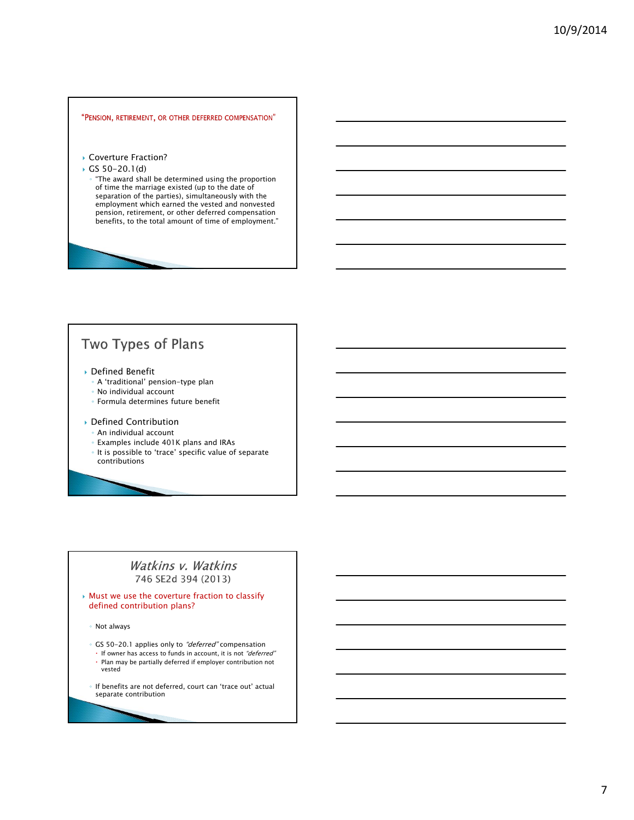#### "PENSION, RETIREMENT, OR OTHER DEFERRED COMPENSATION"

- ▶ Coverture Fraction?
- GS  $50-20.1(d)$ 
	- "The award shall be determined using the proportion of time the marriage existed (up to the date of separation of the parties), simultaneously with the employment which earned the vested and nonvested pension, retirement, or other deferred compensation benefits, to the total amount of time of employment."

# Two Types of Plans

- Defined Benefit
	- A 'traditional' pension-type plan
	- No individual account
	- Formula determines future benefit
- Defined Contribution
	- An individual account
	- Examples include 401K plans and IRAs
	- It is possible to 'trace' specific value of separate contributions

#### Watkins v. Watkins 746 SE2d 394 (2013)

#### Must we use the coverture fraction to classify defined contribution plans?

- Not always
- GS 50-20.1 applies only to "deferred" compensation
- If owner has access to funds in account, it is not "deferred" Plan may be partially deferred if employer contribution not vested
- If benefits are not deferred, court can 'trace out' actual separate contribution